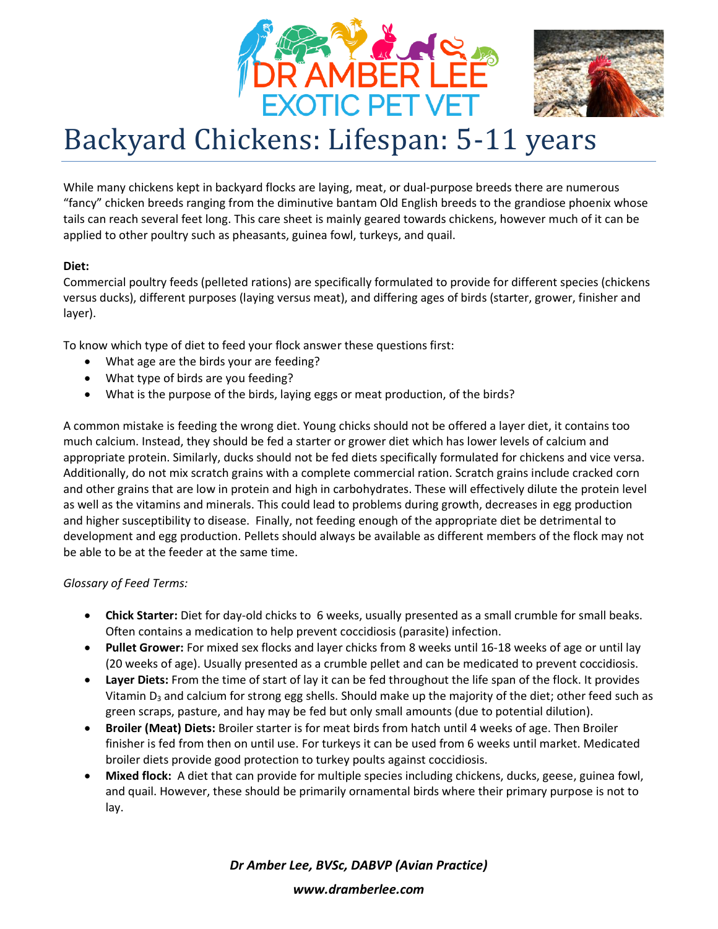



# Backyard Chickens: Lifespan: 5-11 years

While many chickens kept in backyard flocks are laying, meat, or dual-purpose breeds there are numerous "fancy" chicken breeds ranging from the diminutive bantam Old English breeds to the grandiose phoenix whose tails can reach several feet long. This care sheet is mainly geared towards chickens, however much of it can be applied to other poultry such as pheasants, guinea fowl, turkeys, and quail.

# **Diet:**

Commercial poultry feeds (pelleted rations) are specifically formulated to provide for different species (chickens versus ducks), different purposes (laying versus meat), and differing ages of birds (starter, grower, finisher and layer).

To know which type of diet to feed your flock answer these questions first:

- What age are the birds your are feeding?
- What type of birds are you feeding?
- What is the purpose of the birds, laying eggs or meat production, of the birds?

A common mistake is feeding the wrong diet. Young chicks should not be offered a layer diet, it contains too much calcium. Instead, they should be fed a starter or grower diet which has lower levels of calcium and appropriate protein. Similarly, ducks should not be fed diets specifically formulated for chickens and vice versa. Additionally, do not mix scratch grains with a complete commercial ration. Scratch grains include cracked corn and other grains that are low in protein and high in carbohydrates. These will effectively dilute the protein level as well as the vitamins and minerals. This could lead to problems during growth, decreases in egg production and higher susceptibility to disease. Finally, not feeding enough of the appropriate diet be detrimental to development and egg production. Pellets should always be available as different members of the flock may not be able to be at the feeder at the same time.

# *Glossary of Feed Terms:*

- **Chick Starter:** Diet for day-old chicks to 6 weeks, usually presented as a small crumble for small beaks. Often contains a medication to help prevent coccidiosis (parasite) infection.
- **Pullet Grower:** For mixed sex flocks and layer chicks from 8 weeks until 16-18 weeks of age or until lay (20 weeks of age). Usually presented as a crumble pellet and can be medicated to prevent coccidiosis.
- **Layer Diets:** From the time of start of lay it can be fed throughout the life span of the flock. It provides Vitamin  $D_3$  and calcium for strong egg shells. Should make up the majority of the diet; other feed such as green scraps, pasture, and hay may be fed but only small amounts (due to potential dilution).
- **Broiler (Meat) Diets:** Broiler starter is for meat birds from hatch until 4 weeks of age. Then Broiler finisher is fed from then on until use. For turkeys it can be used from 6 weeks until market. Medicated broiler diets provide good protection to turkey poults against coccidiosis.
- **Mixed flock:** A diet that can provide for multiple species including chickens, ducks, geese, guinea fowl, and quail. However, these should be primarily ornamental birds where their primary purpose is not to lay.

*Dr Amber Lee, BVSc, DABVP (Avian Practice)*

*www.dramberlee.com*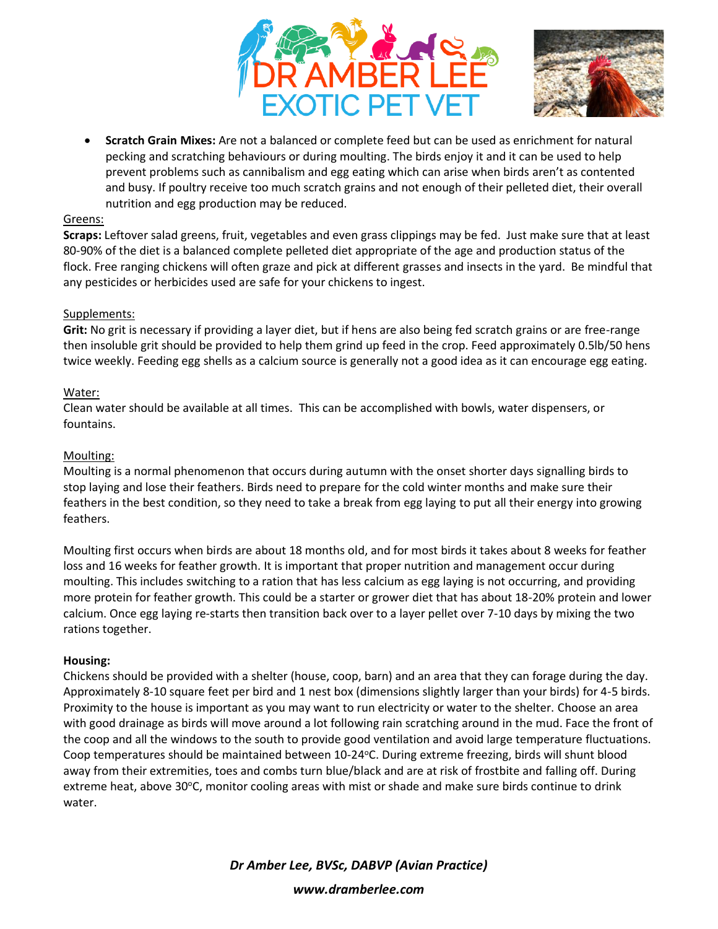



• **Scratch Grain Mixes:** Are not a balanced or complete feed but can be used as enrichment for natural pecking and scratching behaviours or during moulting. The birds enjoy it and it can be used to help prevent problems such as cannibalism and egg eating which can arise when birds aren't as contented and busy. If poultry receive too much scratch grains and not enough of their pelleted diet, their overall nutrition and egg production may be reduced.

#### Greens:

**Scraps:** Leftover salad greens, fruit, vegetables and even grass clippings may be fed. Just make sure that at least 80-90% of the diet is a balanced complete pelleted diet appropriate of the age and production status of the flock. Free ranging chickens will often graze and pick at different grasses and insects in the yard. Be mindful that any pesticides or herbicides used are safe for your chickens to ingest.

### Supplements:

**Grit:** No grit is necessary if providing a layer diet, but if hens are also being fed scratch grains or are free-range then insoluble grit should be provided to help them grind up feed in the crop. Feed approximately 0.5lb/50 hens twice weekly. Feeding egg shells as a calcium source is generally not a good idea as it can encourage egg eating.

### Water:

Clean water should be available at all times. This can be accomplished with bowls, water dispensers, or fountains.

### Moulting:

Moulting is a normal phenomenon that occurs during autumn with the onset shorter days signalling birds to stop laying and lose their feathers. Birds need to prepare for the cold winter months and make sure their feathers in the best condition, so they need to take a break from egg laying to put all their energy into growing feathers.

Moulting first occurs when birds are about 18 months old, and for most birds it takes about 8 weeks for feather loss and 16 weeks for feather growth. It is important that proper nutrition and management occur during moulting. This includes switching to a ration that has less calcium as egg laying is not occurring, and providing more protein for feather growth. This could be a starter or grower diet that has about 18-20% protein and lower calcium. Once egg laying re-starts then transition back over to a layer pellet over 7-10 days by mixing the two rations together.

### **Housing:**

Chickens should be provided with a shelter (house, coop, barn) and an area that they can forage during the day. Approximately 8-10 square feet per bird and 1 nest box (dimensions slightly larger than your birds) for 4-5 birds. Proximity to the house is important as you may want to run electricity or water to the shelter. Choose an area with good drainage as birds will move around a lot following rain scratching around in the mud. Face the front of the coop and all the windows to the south to provide good ventilation and avoid large temperature fluctuations. Coop temperatures should be maintained between 10-24°C. During extreme freezing, birds will shunt blood away from their extremities, toes and combs turn blue/black and are at risk of frostbite and falling off. During extreme heat, above 30°C, monitor cooling areas with mist or shade and make sure birds continue to drink water.

> *Dr Amber Lee, BVSc, DABVP (Avian Practice) www.dramberlee.com*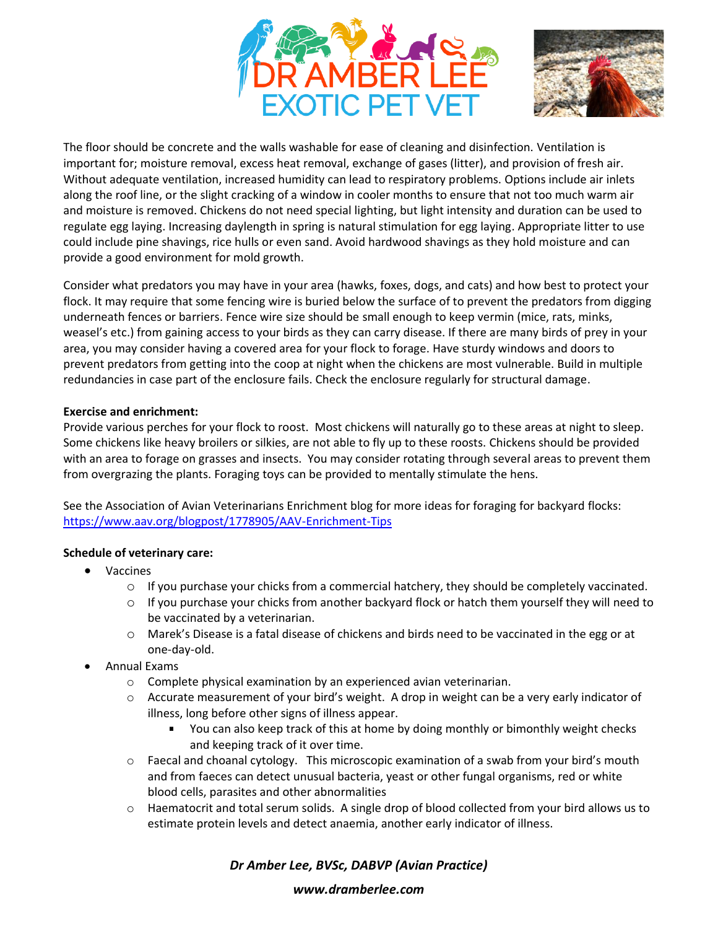



The floor should be concrete and the walls washable for ease of cleaning and disinfection. Ventilation is important for; moisture removal, excess heat removal, exchange of gases (litter), and provision of fresh air. Without adequate ventilation, increased humidity can lead to respiratory problems. Options include air inlets along the roof line, or the slight cracking of a window in cooler months to ensure that not too much warm air and moisture is removed. Chickens do not need special lighting, but light intensity and duration can be used to regulate egg laying. Increasing daylength in spring is natural stimulation for egg laying. Appropriate litter to use could include pine shavings, rice hulls or even sand. Avoid hardwood shavings as they hold moisture and can provide a good environment for mold growth.

Consider what predators you may have in your area (hawks, foxes, dogs, and cats) and how best to protect your flock. It may require that some fencing wire is buried below the surface of to prevent the predators from digging underneath fences or barriers. Fence wire size should be small enough to keep vermin (mice, rats, minks, weasel's etc.) from gaining access to your birds as they can carry disease. If there are many birds of prey in your area, you may consider having a covered area for your flock to forage. Have sturdy windows and doors to prevent predators from getting into the coop at night when the chickens are most vulnerable. Build in multiple redundancies in case part of the enclosure fails. Check the enclosure regularly for structural damage.

### **Exercise and enrichment:**

Provide various perches for your flock to roost. Most chickens will naturally go to these areas at night to sleep. Some chickens like heavy broilers or silkies, are not able to fly up to these roosts. Chickens should be provided with an area to forage on grasses and insects. You may consider rotating through several areas to prevent them from overgrazing the plants. Foraging toys can be provided to mentally stimulate the hens.

See the Association of Avian Veterinarians Enrichment blog for more ideas for foraging for backyard flocks: <https://www.aav.org/blogpost/1778905/AAV-Enrichment-Tips>

## **Schedule of veterinary care:**

- Vaccines
	- $\circ$  If you purchase your chicks from a commercial hatchery, they should be completely vaccinated.
	- $\circ$  If you purchase your chicks from another backyard flock or hatch them yourself they will need to be vaccinated by a veterinarian.
	- o Marek's Disease is a fatal disease of chickens and birds need to be vaccinated in the egg or at one-day-old.
- Annual Exams
	- $\circ$  Complete physical examination by an experienced avian veterinarian.
	- $\circ$  Accurate measurement of your bird's weight. A drop in weight can be a very early indicator of illness, long before other signs of illness appear.
		- You can also keep track of this at home by doing monthly or bimonthly weight checks and keeping track of it over time.
	- $\circ$  Faecal and choanal cytology. This microscopic examination of a swab from your bird's mouth and from faeces can detect unusual bacteria, yeast or other fungal organisms, red or white blood cells, parasites and other abnormalities
	- $\circ$  Haematocrit and total serum solids. A single drop of blood collected from your bird allows us to estimate protein levels and detect anaemia, another early indicator of illness.

*Dr Amber Lee, BVSc, DABVP (Avian Practice)*

#### *www.dramberlee.com*